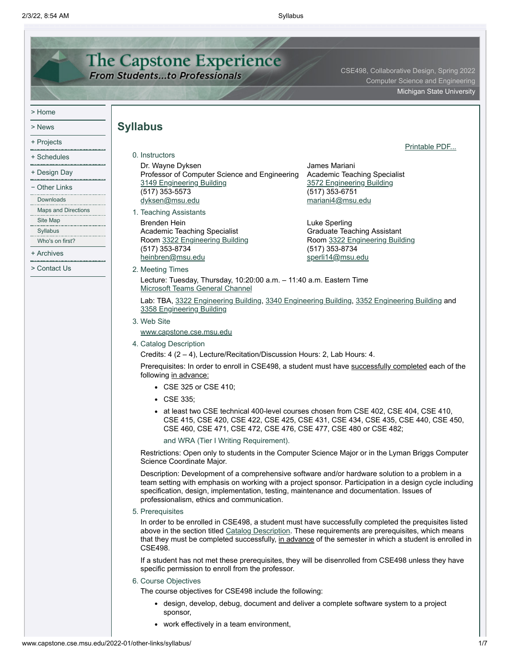<span id="page-0-0"></span>

| <b>The Capstone Experience</b><br>CSE498, Collaborative Design, Spring 2022<br><b>From Studentsto Professionals</b><br><b>Computer Science and Engineering</b> |                                                                                                                                                                                                                                               |                                                                                                                                                                                                                                                                                                                      |  |  |
|----------------------------------------------------------------------------------------------------------------------------------------------------------------|-----------------------------------------------------------------------------------------------------------------------------------------------------------------------------------------------------------------------------------------------|----------------------------------------------------------------------------------------------------------------------------------------------------------------------------------------------------------------------------------------------------------------------------------------------------------------------|--|--|
|                                                                                                                                                                |                                                                                                                                                                                                                                               |                                                                                                                                                                                                                                                                                                                      |  |  |
| > Home                                                                                                                                                         |                                                                                                                                                                                                                                               |                                                                                                                                                                                                                                                                                                                      |  |  |
| > News                                                                                                                                                         | <b>Syllabus</b>                                                                                                                                                                                                                               |                                                                                                                                                                                                                                                                                                                      |  |  |
| + Projects                                                                                                                                                     |                                                                                                                                                                                                                                               |                                                                                                                                                                                                                                                                                                                      |  |  |
| + Schedules                                                                                                                                                    | 0. Instructors                                                                                                                                                                                                                                | Printable PDF                                                                                                                                                                                                                                                                                                        |  |  |
| + Design Day                                                                                                                                                   | Dr. Wayne Dyksen                                                                                                                                                                                                                              | James Mariani                                                                                                                                                                                                                                                                                                        |  |  |
|                                                                                                                                                                | Professor of Computer Science and Engineering<br>3149 Engineering Building                                                                                                                                                                    | <b>Academic Teaching Specialist</b><br>3572 Engineering Building                                                                                                                                                                                                                                                     |  |  |
| – Other Links<br>Downloads                                                                                                                                     | $(517)$ 353-5573                                                                                                                                                                                                                              | (517) 353-6751                                                                                                                                                                                                                                                                                                       |  |  |
| Maps and Directions                                                                                                                                            | dyksen@msu.edu<br>1. Teaching Assistants                                                                                                                                                                                                      | mariani4@msu.edu                                                                                                                                                                                                                                                                                                     |  |  |
| Site Map                                                                                                                                                       | <b>Brenden Hein</b>                                                                                                                                                                                                                           | Luke Sperling                                                                                                                                                                                                                                                                                                        |  |  |
| Syllabus                                                                                                                                                       | Academic Teaching Specialist                                                                                                                                                                                                                  | <b>Graduate Teaching Assistant</b>                                                                                                                                                                                                                                                                                   |  |  |
| Who's on first?                                                                                                                                                | Room 3322 Engineering Building<br>(517) 353-8734                                                                                                                                                                                              | Room 3322 Engineering Building<br>(517) 353-8734                                                                                                                                                                                                                                                                     |  |  |
| + Archives                                                                                                                                                     | heinbren@msu.edu                                                                                                                                                                                                                              | sperli14@msu.edu                                                                                                                                                                                                                                                                                                     |  |  |
| > Contact Us                                                                                                                                                   | 2. Meeting Times                                                                                                                                                                                                                              |                                                                                                                                                                                                                                                                                                                      |  |  |
|                                                                                                                                                                | Lecture: Tuesday, Thursday, 10:20:00 a.m. - 11:40 a.m. Eastern Time<br>Microsoft Teams General Channel<br>Lab: TBA, 3322 Engineering Building, 3340 Engineering Building, 3352 Engineering Building and<br>3358 Engineering Building          |                                                                                                                                                                                                                                                                                                                      |  |  |
|                                                                                                                                                                |                                                                                                                                                                                                                                               |                                                                                                                                                                                                                                                                                                                      |  |  |
|                                                                                                                                                                | 3. Web Site                                                                                                                                                                                                                                   |                                                                                                                                                                                                                                                                                                                      |  |  |
|                                                                                                                                                                | www.capstone.cse.msu.edu                                                                                                                                                                                                                      |                                                                                                                                                                                                                                                                                                                      |  |  |
|                                                                                                                                                                | 4. Catalog Description<br>Credits: 4 (2 - 4), Lecture/Recitation/Discussion Hours: 2, Lab Hours: 4.<br>Prerequisites: In order to enroll in CSE498, a student must have successfully completed each of the<br>following in advance:           |                                                                                                                                                                                                                                                                                                                      |  |  |
|                                                                                                                                                                |                                                                                                                                                                                                                                               |                                                                                                                                                                                                                                                                                                                      |  |  |
|                                                                                                                                                                |                                                                                                                                                                                                                                               |                                                                                                                                                                                                                                                                                                                      |  |  |
|                                                                                                                                                                | • CSE 325 or CSE 410;                                                                                                                                                                                                                         |                                                                                                                                                                                                                                                                                                                      |  |  |
|                                                                                                                                                                | $\cdot$ CSE 335;                                                                                                                                                                                                                              |                                                                                                                                                                                                                                                                                                                      |  |  |
|                                                                                                                                                                | • at least two CSE technical 400-level courses chosen from CSE 402, CSE 404, CSE 410,<br>CSE 415, CSE 420, CSE 422, CSE 425, CSE 431, CSE 434, CSE 435, CSE 440, CSE 450,<br>CSE 460, CSE 471, CSE 472, CSE 476, CSE 477, CSE 480 or CSE 482; |                                                                                                                                                                                                                                                                                                                      |  |  |
|                                                                                                                                                                | and WRA (Tier I Writing Requirement).                                                                                                                                                                                                         |                                                                                                                                                                                                                                                                                                                      |  |  |
|                                                                                                                                                                | Restrictions: Open only to students in the Computer Science Major or in the Lyman Briggs Computer<br>Science Coordinate Major.                                                                                                                |                                                                                                                                                                                                                                                                                                                      |  |  |
|                                                                                                                                                                | Description: Development of a comprehensive software and/or hardware solution to a problem in a<br>specification, design, implementation, testing, maintenance and documentation. Issues of<br>professionalism, ethics and communication.     | team setting with emphasis on working with a project sponsor. Participation in a design cycle including                                                                                                                                                                                                              |  |  |
|                                                                                                                                                                | 5. Prerequisites                                                                                                                                                                                                                              |                                                                                                                                                                                                                                                                                                                      |  |  |
|                                                                                                                                                                | CSE498.                                                                                                                                                                                                                                       | In order to be enrolled in CSE498, a student must have successfully completed the prequisites listed<br>above in the section titled Catalog Description. These requirements are prerequisites, which means<br>that they must be completed successfully, in advance of the semester in which a student is enrolled in |  |  |
|                                                                                                                                                                | specific permission to enroll from the professor.                                                                                                                                                                                             | If a student has not met these prerequisites, they will be disenrolled from CSE498 unless they have                                                                                                                                                                                                                  |  |  |
|                                                                                                                                                                | 6. Course Objectives                                                                                                                                                                                                                          |                                                                                                                                                                                                                                                                                                                      |  |  |
|                                                                                                                                                                | The course objectives for CSE498 include the following:                                                                                                                                                                                       |                                                                                                                                                                                                                                                                                                                      |  |  |
|                                                                                                                                                                | • design, develop, debug, document and deliver a complete software system to a project<br>sponsor,                                                                                                                                            |                                                                                                                                                                                                                                                                                                                      |  |  |
|                                                                                                                                                                | • work effectively in a team environment,                                                                                                                                                                                                     |                                                                                                                                                                                                                                                                                                                      |  |  |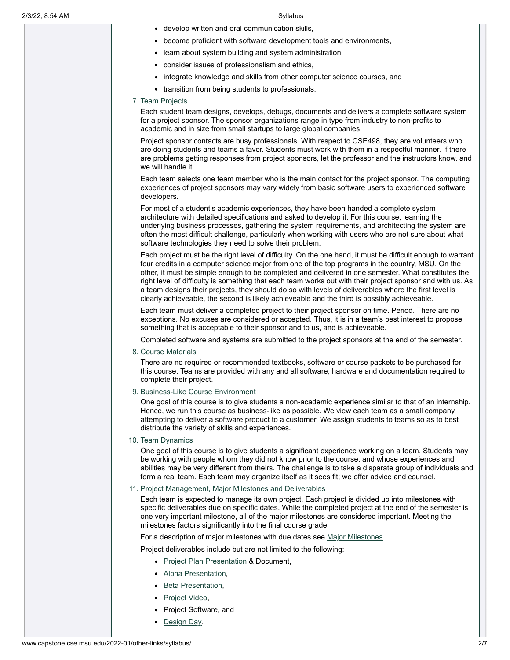- develop written and oral communication skills,
- become proficient with software development tools and environments,
- learn about system building and system administration,
- consider issues of professionalism and ethics,
- integrate knowledge and skills from other computer science courses, and
- transition from being students to professionals.

## 7. Team Projects

Each student team designs, develops, debugs, documents and delivers a complete software system for a project sponsor. The sponsor organizations range in type from industry to non-profits to academic and in size from small startups to large global companies.

Project sponsor contacts are busy professionals. With respect to CSE498, they are volunteers who are doing students and teams a favor. Students must work with them in a respectful manner. If there are problems getting responses from project sponsors, let the professor and the instructors know, and we will handle it.

Each team selects one team member who is the main contact for the project sponsor. The computing experiences of project sponsors may vary widely from basic software users to experienced software developers.

For most of a student's academic experiences, they have been handed a complete system architecture with detailed specifications and asked to develop it. For this course, learning the underlying business processes, gathering the system requirements, and architecting the system are often the most difficult challenge, particularly when working with users who are not sure about what software technologies they need to solve their problem.

Each project must be the right level of difficulty. On the one hand, it must be difficult enough to warrant four credits in a computer science major from one of the top programs in the country, MSU. On the other, it must be simple enough to be completed and delivered in one semester. What constitutes the right level of difficulty is something that each team works out with their project sponsor and with us. As a team designs their projects, they should do so with levels of deliverables where the first level is clearly achieveable, the second is likely achieveable and the third is possibly achieveable.

Each team must deliver a completed project to their project sponsor on time. Period. There are no exceptions. No excuses are considered or accepted. Thus, it is in a team's best interest to propose something that is acceptable to their sponsor and to us, and is achieveable.

Completed software and systems are submitted to the project sponsors at the end of the semester.

8. Course Materials

There are no required or recommended textbooks, software or course packets to be purchased for this course. Teams are provided with any and all software, hardware and documentation required to complete their project.

9. Business-Like Course Environment

One goal of this course is to give students a non-academic experience similar to that of an internship. Hence, we run this course as business-like as possible. We view each team as a small company attempting to deliver a software product to a customer. We assign students to teams so as to best distribute the variety of skills and experiences.

10. Team Dynamics

One goal of this course is to give students a significant experience working on a team. Students may be working with people whom they did not know prior to the course, and whose experiences and abilities may be very different from theirs. The challenge is to take a disparate group of individuals and form a real team. Each team may organize itself as it sees fit; we offer advice and counsel.

# 11. Project Management, Major Milestones and Deliverables

Each team is expected to manage its own project. Each project is divided up into milestones with specific deliverables due on specific dates. While the completed project at the end of the semester is one very important milestone, all of the major milestones are considered important. Meeting the milestones factors significantly into the final course grade.

For a description of major milestones with due dates see Major [Milestones](http://www.capstone.cse.msu.edu/2022-01/schedules/major-milestones).

Project deliverables include but are not limited to the following:

- Project Plan [Presentation](http://www.capstone.cse.msu.edu/2022-01/schedules/major-milestones/#project-plan-presentations) & Document,
- Alpha [Presentation](http://www.capstone.cse.msu.edu/2022-01/schedules/major-milestones/#alpha-presentations),
- Beta [Presentation,](http://www.capstone.cse.msu.edu/2022-01/schedules/major-milestones/#beta-presentations)
- [Project](http://www.capstone.cse.msu.edu/2022-01/schedules/major-milestones/#project-videos) Video,
- Project Software, and
- [Design](http://www.capstone.cse.msu.edu/2022-01/schedules/major-milestones/#design-day) Day.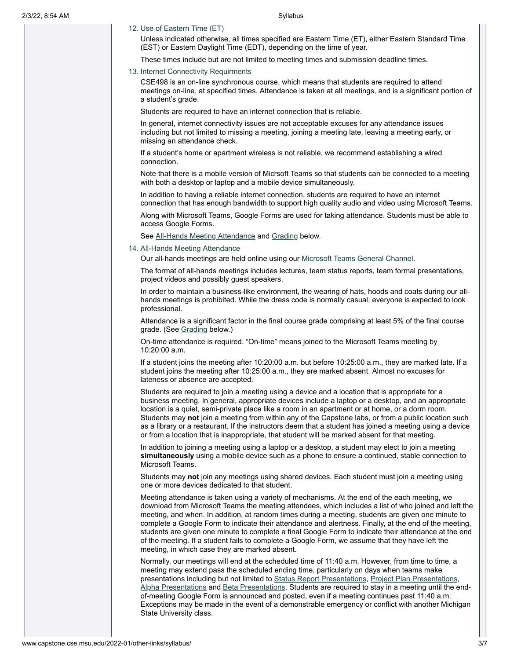12. Use of Eastern Time (ET)

Unless indicated otherwise, all times specified are Eastern Time (ET), either Eastern Standard Time (EST) or Eastern Daylight Time (EDT), depending on the time of year.

These times include but are not limited to meeting times and submission deadline times.

### 13. Internet Connectivity Requirments

CSE498 is an on-line synchronous course, which means that students are required to attend meetings on-line, at specified times. Attendance is taken at all meetings, and is a significant portion of a student's grade.

Students are required to have an internet connection that is reliable.

In general, internet connectivity issues are not acceptable excuses for any attendance issues including but not limited to missing a meeting, joining a meeting late, leaving a meeting early, or missing an attendance check.

If a student's home or apartment wireless is not reliable, we recommend establishing a wired connection.

Note that there is a mobile version of Micrsoft Teams so that students can be connected to a meeting with both a desktop or laptop and a mobile device simultaneously.

In addition to having a reliable internet connection, students are required to have an internet connection that has enough bandwidth to support high quality audio and video using Microsoft Teams.

Along with Microsoft Teams, Google Forms are used for taking attendance. Students must be able to access Google Forms.

<span id="page-2-0"></span>See All-Hands Meeting [Attendance](#page-2-0) and [Grading](#page-5-0) below.

### 14. All-Hands Meeting Attendance

Our all-hands meetings are held online using our Microsoft Teams [General Channel](https://teams.microsoft.com/l/team/19%3aG5GSoQfFHwgyKo58RhjyK3PPgWTAlljv4JtcWdilx5U1%40thread.tacv2/conversations?groupId=bf1d747c-2e5c-413d-9f3b-8810b878f068&tenantId=22177130-642f-41d9-9211-74237ad5687d).

The format of all-hands meetings includes lectures, team status reports, team formal presentations, project videos and possibly guest speakers.

In order to maintain a business-like environment, the wearing of hats, hoods and coats during our allhands meetings is prohibited. While the dress code is normally casual, everyone is expected to look professional.

Attendance is a significant factor in the final course grade comprising at least 5% of the final course grade. (See [Grading](#page-5-0) below.)

On-time attendance is required. "On-time" means joined to the Microsoft Teams meeting by 10:20:00 a.m.

If a student joins the meeting after 10:20:00 a.m. but before 10:25:00 a.m., they are marked late. If a student joins the meeting after 10:25:00 a.m., they are marked absent. Almost no excuses for lateness or absence are accepted.

Students are required to join a meeting using a device and a location that is appropriate for a business meeting. In general, appropriate devices include a laptop or a desktop, and an appropriate location is a quiet, semi-private place like a room in an apartment or at home, or a dorm room. Students may **not** join a meeting from within any of the Capstone labs, or from a public location such as a library or a restaurant. If the instructors deem that a student has joined a meeting using a device or from a location that is inappropriate, that student will be marked absent for that meeting.

In addition to joining a meeting using a laptop or a desktop, a student may elect to join a meeting **simultaneously** using a mobile device such as a phone to ensure a continued, stable connection to Microsoft Teams.

Students may **not** join any meetings using shared devices. Each student must join a meeting using one or more devices dedicated to that student.

Meeting attendance is taken using a variety of mechanisms. At the end of the each meeting, we download from Microsoft Teams the meeting attendees, which includes a list of who joined and left the meeting, and when. In addition, at random times during a meeting, students are given one minute to complete a Google Form to indicate their attendance and alertness. Finally, at the end of the meeting, students are given one minute to complete a final Google Form to indicate their attendance at the end of the meeting. If a student fails to complete a Google Form, we assume that they have left the meeting, in which case they are marked absent.

Normally, our meetings will end at the scheduled time of 11:40 a.m. However, from time to time, a meeting may extend pass the scheduled ending time, particularly on days when teams make presentations including but not limited to Status Report [Presentations](http://www.capstone.cse.msu.edu/2022-01/schedules/major-milestones/#status-report-presentations), Project Plan [Presentations](http://www.capstone.cse.msu.edu/2022-01/schedules/major-milestones/#project-plan-presentations), Alpha [Presentations](http://www.capstone.cse.msu.edu/2022-01/schedules/major-milestones/#beta-presentations) and Beta Presentations. Students are required to stay in a meeting until the endof-meeting Google Form is announced and posted, even if a meeting continues past 11:40 a.m. Exceptions may be made in the event of a demonstrable emergency or conflict with another Michigan State University class.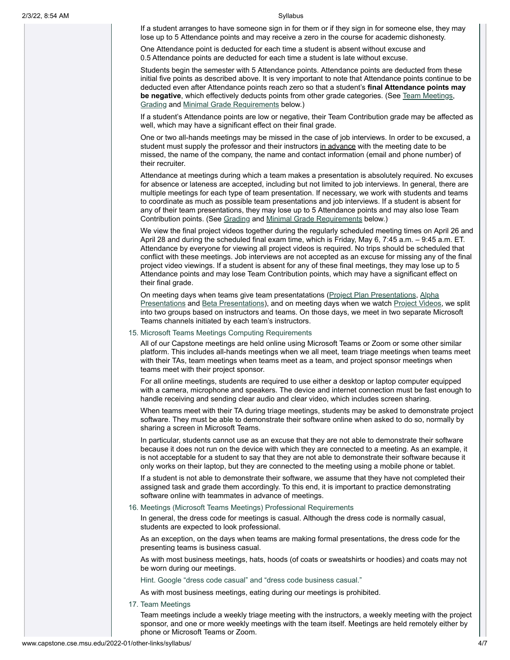If a student arranges to have someone sign in for them or if they sign in for someone else, they may lose up to 5 Attendance points and may receive a zero in the course for academic dishonesty.

One Attendance point is deducted for each time a student is absent without excuse and 0.5 Attendance points are deducted for each time a student is late without excuse.

Students begin the semester with 5 Attendance points. Attendance points are deducted from these initial five points as described above. It is very important to note that Attendance points continue to be deducted even after Attendance points reach zero so that a student's **final Attendance points may be negative**, which effectively deducts points from other grade categories. (See Team [Meetings,](#page-3-0) [Grading](#page-5-0) and [Minimal Grade](#page-5-1) Requirements below.)

If a student's Attendance points are low or negative, their Team Contribution grade may be affected as well, which may have a significant effect on their final grade.

One or two all-hands meetings may be missed in the case of job interviews. In order to be excused, a student must supply the professor and their instructors in advance with the meeting date to be missed, the name of the company, the name and contact information (email and phone number) of their recruiter.

Attendance at meetings during which a team makes a presentation is absolutely required. No excuses for absence or lateness are accepted, including but not limited to job interviews. In general, there are multiple meetings for each type of team presentation. If necessary, we work with students and teams to coordinate as much as possible team presentations and job interviews. If a student is absent for any of their team presentations, they may lose up to 5 Attendance points and may also lose Team Contribution points. (See [Grading](#page-5-0) and [Minimal Grade](#page-5-1) Requirements below.)

We view the final project videos together during the regularly scheduled meeting times on April 26 and April 28 and during the scheduled final exam time, which is Friday, May 6, 7:45 a.m. – 9:45 a.m. ET. Attendance by everyone for viewing all project videos is required. No trips should be scheduled that conflict with these meetings. Job interviews are not accepted as an excuse for missing any of the final project video viewings. If a student is absent for any of these final meetings, they may lose up to 5 Attendance points and may lose Team Contribution points, which may have a significant effect on their final grade.

On meeting days when teams give team [presentatations](http://www.capstone.cse.msu.edu/2022-01/schedules/major-milestones/#alpha-presentations) (Project Plan [Presentations,](http://www.capstone.cse.msu.edu/2022-01/schedules/major-milestones/#project-plan-presentations) Alpha Presentations and Beta [Presentations\)](http://www.capstone.cse.msu.edu/2022-01/schedules/major-milestones/#beta-presentations), and on meeting days when we watch [Project](http://www.capstone.cse.msu.edu/2022-01/schedules/major-milestones/#project-videos) Videos, we split into two groups based on instructors and teams. On those days, we meet in two separate Microsoft Teams channels initiated by each team's instructors.

### 15. Microsoft Teams Meetings Computing Requirements

All of our Capstone meetings are held online using Microsoft Teams or Zoom or some other similar platform. This includes all-hands meetings when we all meet, team triage meetings when teams meet with their TAs, team meetings when teams meet as a team, and project sponsor meetings when teams meet with their project sponsor.

For all online meetings, students are required to use either a desktop or laptop computer equipped with a camera, microphone and speakers. The device and internet connection must be fast enough to handle receiving and sending clear audio and clear video, which includes screen sharing.

When teams meet with their TA during triage meetings, students may be asked to demonstrate project software. They must be able to demonstrate their software online when asked to do so, normally by sharing a screen in Microsoft Teams.

In particular, students cannot use as an excuse that they are not able to demonstrate their software because it does not run on the device with which they are connected to a meeting. As an example, it is not acceptable for a student to say that they are not able to demonstrate their software because it only works on their laptop, but they are connected to the meeting using a mobile phone or tablet.

If a student is not able to demonstrate their software, we assume that they have not completed their assigned task and grade them accordingly. To this end, it is important to practice demonstrating software online with teammates in advance of meetings.

16. Meetings (Microsoft Teams Meetings) Professional Requirements

In general, the dress code for meetings is casual. Although the dress code is normally casual, students are expected to look professional.

As an exception, on the days when teams are making formal presentations, the dress code for the presenting teams is business casual.

As with most business meetings, hats, hoods (of coats or sweatshirts or hoodies) and coats may not be worn during our meetings.

Hint. Google "dress code casual" and "dress code business casual."

<span id="page-3-0"></span>As with most business meetings, eating during our meetings is prohibited.

17. Team Meetings

Team meetings include a weekly triage meeting with the instructors, a weekly meeting with the project sponsor, and one or more weekly meetings with the team itself. Meetings are held remotely either by phone or Microsoft Teams or Zoom.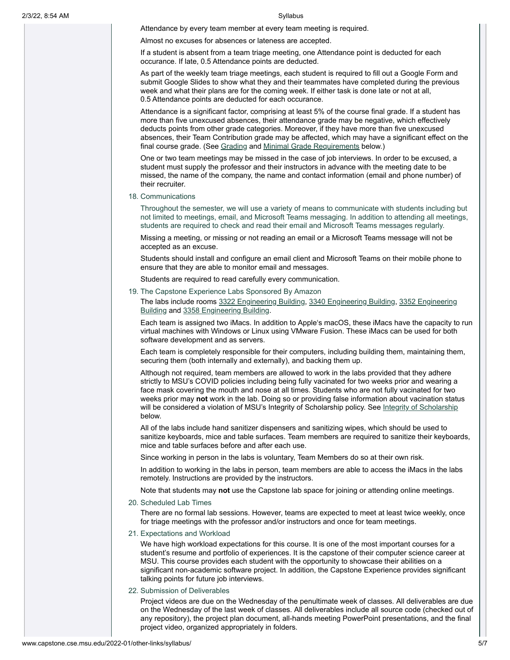Attendance by every team member at every team meeting is required.

Almost no excuses for absences or lateness are accepted.

If a student is absent from a team triage meeting, one Attendance point is deducted for each occurance. If late, 0.5 Attendance points are deducted.

As part of the weekly team triage meetings, each student is required to fill out a Google Form and submit Google Slides to show what they and their teammates have completed during the previous week and what their plans are for the coming week. If either task is done late or not at all, 0.5 Attendance points are deducted for each occurance.

Attendance is a significant factor, comprising at least 5% of the course final grade. If a student has more than five unexcused absences, their attendance grade may be negative, which effectively deducts points from other grade categories. Moreover, if they have more than five unexcused absences, their Team Contribution grade may be affected, which may have a significant effect on the final course grade. (See [Grading](#page-5-0) and [Minimal Grade](#page-5-1) Requirements below.)

One or two team meetings may be missed in the case of job interviews. In order to be excused, a student must supply the professor and their instructors in advance with the meeting date to be missed, the name of the company, the name and contact information (email and phone number) of their recruiter.

18. Communications

Throughout the semester, we will use a variety of means to communicate with students including but not limited to meetings, email, and Microsoft Teams messaging. In addition to attending all meetings, students are required to check and read their email and Microsoft Teams messages regularly.

Missing a meeting, or missing or not reading an email or a Microsoft Teams message will not be accepted as an excuse.

Students should install and configure an email client and Microsoft Teams on their mobile phone to ensure that they are able to monitor email and messages.

Students are required to read carefully every communication.

19. The Capstone Experience Labs Sponsored By Amazon

The labs include rooms 3322 [Engineering](http://www.capstone.cse.msu.edu/2022-01/other-links/maps-and-directions/engineering-building/?room=3352) Building, 3340 Engineering Building, 3352 Engineering Building and 3358 [Engineering](http://www.capstone.cse.msu.edu/2022-01/other-links/maps-and-directions/engineering-building/?room=3358) Building.

Each team is assigned two iMacs. In addition to Apple's macOS, these iMacs have the capacity to run virtual machines with Windows or Linux using VMware Fusion. These iMacs can be used for both software development and as servers.

Each team is completely responsible for their computers, including building them, maintaining them, securing them (both internally and externally), and backing them up.

Although not required, team members are allowed to work in the labs provided that they adhere strictly to MSU's COVID policies including being fully vacinated for two weeks prior and wearing a face mask covering the mouth and nose at all times. Students who are not fully vacinated for two weeks prior may **not** work in the lab. Doing so or providing false information about vacination status will be considered a violation of MSU's Integrity of Scholarship policy. See Integrity of [Scholarship](#page-6-0) below.

All of the labs include hand sanitizer dispensers and sanitizing wipes, which should be used to sanitize keyboards, mice and table surfaces. Team members are required to sanitize their keyboards, mice and table surfaces before and after each use.

Since working in person in the labs is voluntary, Team Members do so at their own risk.

In addition to working in the labs in person, team members are able to access the iMacs in the labs remotely. Instructions are provided by the instructors.

Note that students may **not** use the Capstone lab space for joining or attending online meetings.

20. Scheduled Lab Times

There are no formal lab sessions. However, teams are expected to meet at least twice weekly, once for triage meetings with the professor and/or instructors and once for team meetings.

21. Expectations and Workload

We have high workload expectations for this course. It is one of the most important courses for a student's resume and portfolio of experiences. It is the capstone of their computer science career at MSU. This course provides each student with the opportunity to showcase their abilities on a significant non-academic software project. In addition, the Capstone Experience provides significant talking points for future job interviews.

22. Submission of Deliverables

Project videos are due on the Wednesday of the penultimate week of classes. All deliverables are due on the Wednesday of the last week of classes. All deliverables include all source code (checked out of any repository), the project plan document, all-hands meeting PowerPoint presentations, and the final project video, organized appropriately in folders.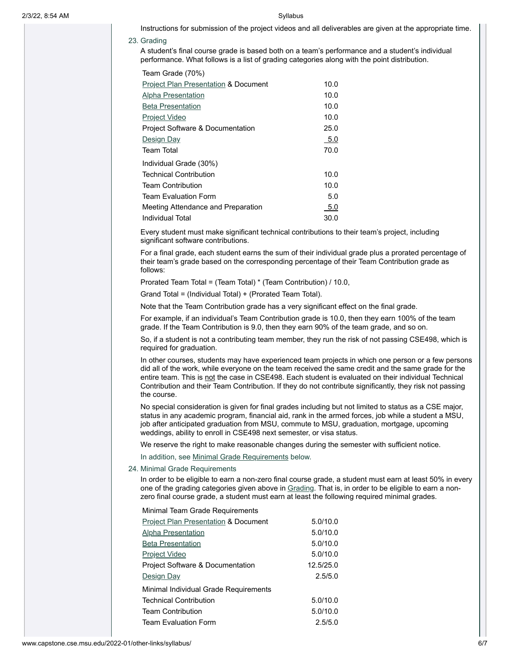Instructions for submission of the project videos and all deliverables are given at the appropriate time.

### 23. Grading

<span id="page-5-0"></span>A student's final course grade is based both on a team's performance and a student's individual performance. What follows is a list of grading categories along with the point distribution.

| Team Grade (70%)                                |      |
|-------------------------------------------------|------|
| <b>Project Plan Presentation &amp; Document</b> | 10.0 |
| <b>Alpha Presentation</b>                       | 10.0 |
| <b>Beta Presentation</b>                        | 10.0 |
| <u>Project Video</u>                            | 10.0 |
| <b>Project Software &amp; Documentation</b>     | 25.0 |
| Design Day                                      | 5.0  |
| Team Total                                      | 70.0 |
| Individual Grade (30%)                          |      |
| Technical Contribution                          | 10.0 |
| <b>Team Contribution</b>                        | 10.0 |
| Team Fvaluation Form                            | 5.0  |
| Meeting Attendance and Preparation              | -5.0 |
| Individual Total                                | 30.0 |

Every student must make significant technical contributions to their team's project, including significant software contributions.

For a final grade, each student earns the sum of their individual grade plus a prorated percentage of their team's grade based on the corresponding percentage of their Team Contribution grade as follows:

Prorated Team Total = (Team Total) \* (Team Contribution) / 10.0,

Grand Total = (Individual Total) + (Prorated Team Total).

Note that the Team Contribution grade has a very significant effect on the final grade.

For example, if an individual's Team Contribution grade is 10.0, then they earn 100% of the team grade. If the Team Contribution is 9.0, then they earn 90% of the team grade, and so on.

So, if a student is not a contributing team member, they run the risk of not passing CSE498, which is required for graduation.

In other courses, students may have experienced team projects in which one person or a few persons did all of the work, while everyone on the team received the same credit and the same grade for the entire team. This is not the case in CSE498. Each student is evaluated on their individual Technical Contribution and their Team Contribution. If they do not contribute significantly, they risk not passing the course.

No special consideration is given for final grades including but not limited to status as a CSE major, status in any academic program, financial aid, rank in the armed forces, job while a student a MSU, job after anticipated graduation from MSU, commute to MSU, graduation, mortgage, upcoming weddings, ability to enroll in CSE498 next semester, or visa status.

We reserve the right to make reasonable changes during the semester with sufficient notice.

<span id="page-5-1"></span>In addition, see [Minimal Grade](#page-5-1) Requirements below.

### 24. Minimal Grade Requirements

In order to be eligible to earn a non-zero final course grade, a student must earn at least 50% in every one of the grading categories given above in [Grading](#page-5-0). That is, in order to be eligible to earn a nonzero final course grade, a student must earn at least the following required minimal grades.

Minimal Team Grade Requirements

| <b>Project Plan Presentation &amp; Document</b> | 5.0/10.0  |
|-------------------------------------------------|-----------|
| Alpha Presentation                              | 5.0/10.0  |
| <b>Beta Presentation</b>                        | 5.0/10.0  |
| Project Video                                   | 5.0/10.0  |
| <b>Project Software &amp; Documentation</b>     | 12.5/25.0 |
| Design Day                                      | 2.5/5.0   |
| Minimal Individual Grade Requirements           |           |
| <b>Technical Contribution</b>                   | 5.0/10.0  |
| <b>Team Contribution</b>                        | 5.0/10.0  |
| <b>Team Evaluation Form</b>                     | 2.5/5.0   |